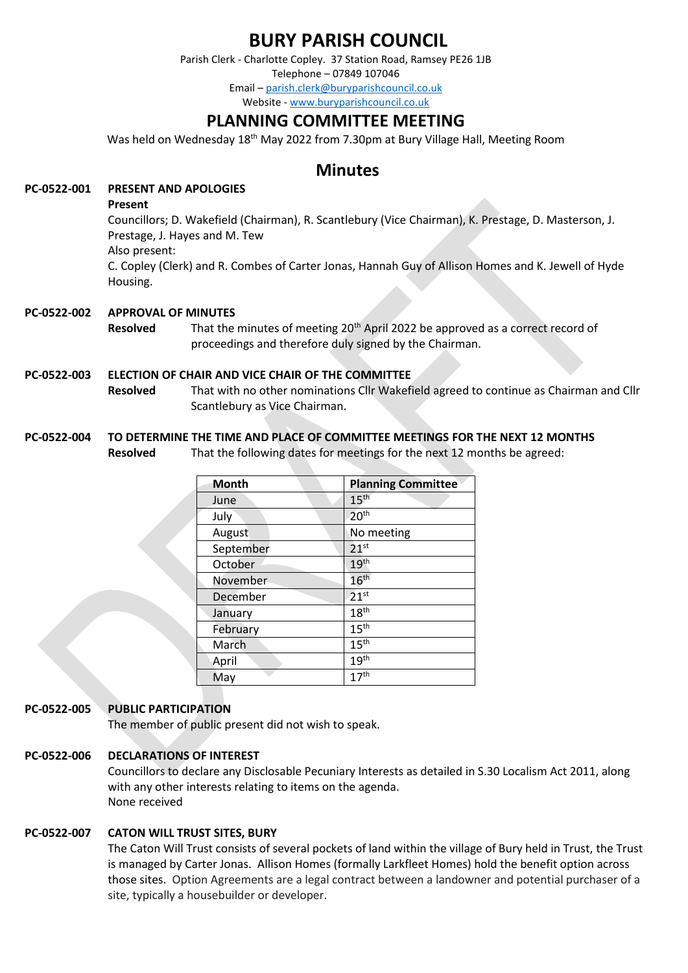# **BURY PARISH COUNCIL**

Parish Clerk - Charlotte Copley. 37 Station Road, Ramsey PE26 1JB Telephone – 07849 107046 Email – [parish.clerk@buryparishcouncil.co.uk](mailto:parish.clerk@buryparishcouncil.co.uk) Website - [www.buryparishcouncil.co.uk](http://www.buryparishcouncil.co.uk/)

# **PLANNING COMMITTEE MEETING**

Was held on Wednesday 18<sup>th</sup> May 2022 from 7.30pm at Bury Village Hall, Meeting Room

# **Minutes**

# **PC-0522-001 PRESENT AND APOLOGIES**

#### **Present**

Councillors; D. Wakefield (Chairman), R. Scantlebury (Vice Chairman), K. Prestage, D. Masterson, J. Prestage, J. Hayes and M. Tew Also present:

C. Copley (Clerk) and R. Combes of Carter Jonas, Hannah Guy of Allison Homes and K. Jewell of Hyde Housing.

# **PC-0522-002 APPROVAL OF MINUTES**

**Resolved** That the minutes of meeting 20<sup>th</sup> April 2022 be approved as a correct record of proceedings and therefore duly signed by the Chairman.

#### **PC-0522-003 ELECTION OF CHAIR AND VICE CHAIR OF THE COMMITTEE**

**Resolved** That with no other nominations Cllr Wakefield agreed to continue as Chairman and Cllr Scantlebury as Vice Chairman.

#### **PC-0522-004 TO DETERMINE THE TIME AND PLACE OF COMMITTEE MEETINGS FOR THE NEXT 12 MONTHS**

**Resolved** That the following dates for meetings for the next 12 months be agreed:

| Month     | <b>Planning Committee</b> |
|-----------|---------------------------|
| June      | 15 <sup>th</sup>          |
| July      | 20 <sup>th</sup>          |
| August    | No meeting                |
| September | 21 <sup>st</sup>          |
| October   | 19 <sup>th</sup>          |
| November  | 16 <sup>th</sup>          |
| December  | 21 <sup>st</sup>          |
| January   | 18 <sup>th</sup>          |
| February  | 15 <sup>th</sup>          |
| March     | 15 <sup>th</sup>          |
| April     | 19 <sup>th</sup>          |
| May       | 17 <sup>th</sup>          |

# **PC-0522-005 PUBLIC PARTICIPATION**

The member of public present did not wish to speak.

#### **PC-0522-006 DECLARATIONS OF INTEREST**

Councillors to declare any Disclosable Pecuniary Interests as detailed in S.30 Localism Act 2011, along with any other interests relating to items on the agenda. None received

#### **PC-0522-007 CATON WILL TRUST SITES, BURY**

The Caton Will Trust consists of several pockets of land within the village of Bury held in Trust, the Trust is managed by Carter Jonas. Allison Homes (formally Larkfleet Homes) hold the benefit option across those sites. Option Agreements are a legal contract between a landowner and potential purchaser of a site, typically a housebuilder or developer.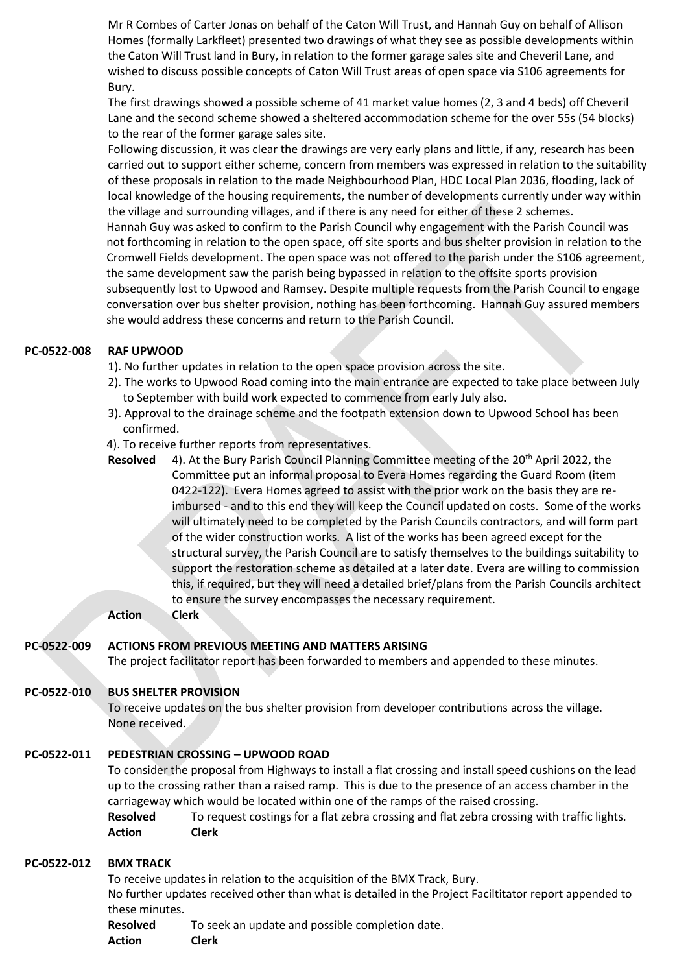Mr R Combes of Carter Jonas on behalf of the Caton Will Trust, and Hannah Guy on behalf of Allison Homes (formally Larkfleet) presented two drawings of what they see as possible developments within the Caton Will Trust land in Bury, in relation to the former garage sales site and Cheveril Lane, and wished to discuss possible concepts of Caton Will Trust areas of open space via S106 agreements for Bury.

The first drawings showed a possible scheme of 41 market value homes (2, 3 and 4 beds) off Cheveril Lane and the second scheme showed a sheltered accommodation scheme for the over 55s (54 blocks) to the rear of the former garage sales site.

Following discussion, it was clear the drawings are very early plans and little, if any, research has been carried out to support either scheme, concern from members was expressed in relation to the suitability of these proposals in relation to the made Neighbourhood Plan, HDC Local Plan 2036, flooding, lack of local knowledge of the housing requirements, the number of developments currently under way within the village and surrounding villages, and if there is any need for either of these 2 schemes.

Hannah Guy was asked to confirm to the Parish Council why engagement with the Parish Council was not forthcoming in relation to the open space, off site sports and bus shelter provision in relation to the Cromwell Fields development. The open space was not offered to the parish under the S106 agreement, the same development saw the parish being bypassed in relation to the offsite sports provision subsequently lost to Upwood and Ramsey. Despite multiple requests from the Parish Council to engage conversation over bus shelter provision, nothing has been forthcoming. Hannah Guy assured members she would address these concerns and return to the Parish Council.

# **PC-0522-008 RAF UPWOOD**

- 1). No further updates in relation to the open space provision across the site.
- 2). The works to Upwood Road coming into the main entrance are expected to take place between July to September with build work expected to commence from early July also.
- 3). Approval to the drainage scheme and the footpath extension down to Upwood School has been confirmed.
- 4). To receive further reports from representatives.
- **Resolved** 4). At the Bury Parish Council Planning Committee meeting of the 20<sup>th</sup> April 2022, the Committee put an informal proposal to Evera Homes regarding the Guard Room (item 0422-122). Evera Homes agreed to assist with the prior work on the basis they are reimbursed - and to this end they will keep the Council updated on costs. Some of the works will ultimately need to be completed by the Parish Councils contractors, and will form part of the wider construction works. A list of the works has been agreed except for the structural survey, the Parish Council are to satisfy themselves to the buildings suitability to support the restoration scheme as detailed at a later date. Evera are willing to commission this, if required, but they will need a detailed brief/plans from the Parish Councils architect to ensure the survey encompasses the necessary requirement.

**Action Clerk**

#### **PC-0522-009 ACTIONS FROM PREVIOUS MEETING AND MATTERS ARISING**

The project facilitator report has been forwarded to members and appended to these minutes.

#### **PC-0522-010 BUS SHELTER PROVISION**

To receive updates on the bus shelter provision from developer contributions across the village. None received.

#### **PC-0522-011 PEDESTRIAN CROSSING – UPWOOD ROAD**

To consider the proposal from Highways to install a flat crossing and install speed cushions on the lead up to the crossing rather than a raised ramp. This is due to the presence of an access chamber in the carriageway which would be located within one of the ramps of the raised crossing.

**Resolved** To request costings for a flat zebra crossing and flat zebra crossing with traffic lights. **Action Clerk**

#### **PC-0522-012 BMX TRACK**

To receive updates in relation to the acquisition of the BMX Track, Bury. No further updates received other than what is detailed in the Project Faciltitator report appended to these minutes.

**Resolved** To seek an update and possible completion date. **Action Clerk**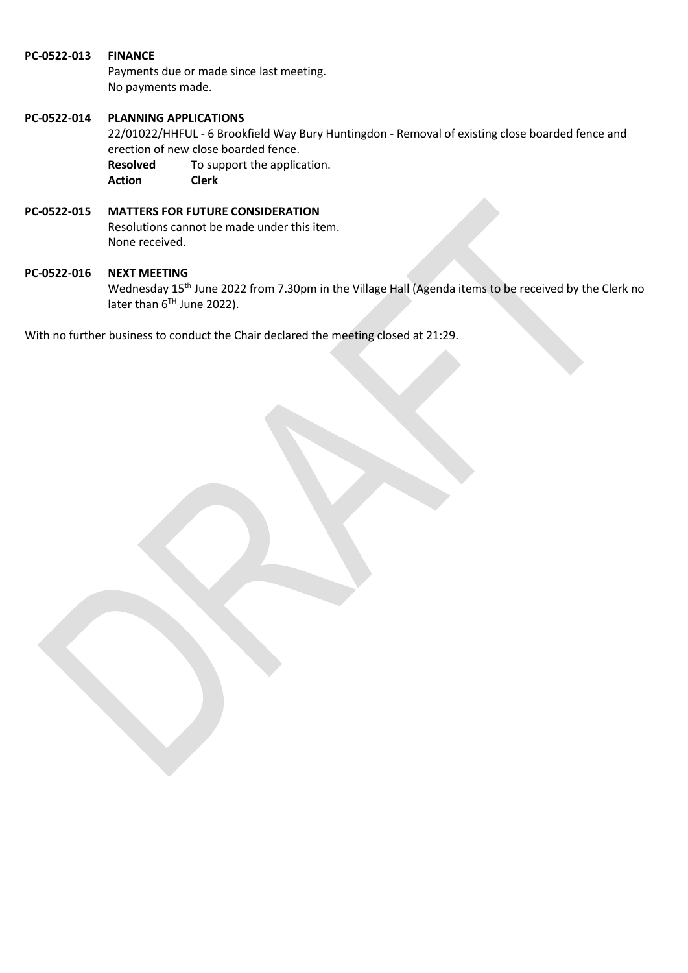#### **PC-0522-013 FINANCE**

Payments due or made since last meeting. No payments made.

#### **PC-0522-014 PLANNING APPLICATIONS**

22/01022/HHFUL - 6 Brookfield Way Bury Huntingdon - Removal of existing close boarded fence and erection of new close boarded fence.

**Resolved** To support the application. **Action Clerk**

# **PC-0522-015 MATTERS FOR FUTURE CONSIDERATION**

Resolutions cannot be made under this item. None received.

#### **PC-0522-016 NEXT MEETING**

Wednesday 15<sup>th</sup> June 2022 from 7.30pm in the Village Hall (Agenda items to be received by the Clerk no later than 6<sup>TH</sup> June 2022).

With no further business to conduct the Chair declared the meeting closed at 21:29.